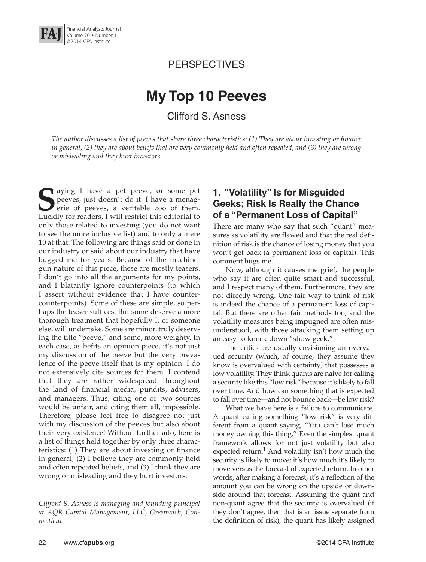

# **PERSPECTIVES**

# **My Top 10 Peeves**

Clifford S. Asness

*The author discusses a list of peeves that share three characteristics: (1) They are about investing or finance in general, (2) they are about beliefs that are very commonly held and often repeated, and (3) they are wrong or misleading and they hurt investors.* 

**S**aying I have a pet peeve, or some pet peeves, just doesn't do it. I have a menagerie of peeves, a veritable zoo of them. Luckily for readers, I will restrict this editorial to only those related to investing (you do not want to see the more inclusive list) and to only a mere 10 at that. The following are things said or done in our industry or said about our industry that have bugged me for years. Because of the machinegun nature of this piece, these are mostly teasers. I don't go into all the arguments for my points, and I blatantly ignore counterpoints (to which I assert without evidence that I have countercounterpoints). Some of these are simple, so perhaps the teaser suffices. But some deserve a more thorough treatment that hopefully I, or someone else, will undertake. Some are minor, truly deserving the title "peeve," and some, more weighty. In each case, as befits an opinion piece, it's not just my discussion of the peeve but the very prevalence of the peeve itself that is my opinion. I do not extensively cite sources for them. I contend that they are rather widespread throughout the land of financial media, pundits, advisers, and managers. Thus, citing one or two sources would be unfair, and citing them all, impossible. Therefore, please feel free to disagree not just with my discussion of the peeves but also about their very existence! Without further ado, here is a list of things held together by only three characteristics: (1) They are about investing or finance in general, (2) I believe they are commonly held and often repeated beliefs, and (3) I think they are wrong or misleading and they hurt investors.

#### **1. "Volatility" Is for Misguided Geeks; Risk Is Really the Chance of a "Permanent Loss of Capital"**

There are many who say that such "quant" measures as volatility are flawed and that the real definition of risk is the chance of losing money that you won't get back (a permanent loss of capital). This comment bugs me.

Now, although it causes me grief, the people who say it are often quite smart and successful, and I respect many of them. Furthermore, they are not directly wrong. One fair way to think of risk is indeed the chance of a permanent loss of capital. But there are other fair methods too, and the volatility measures being impugned are often misunderstood, with those attacking them setting up an easy-to-knock-down "straw geek."

The critics are usually envisioning an overvalued security (which, of course, they assume they know is overvalued with certainty) that possesses a low volatility. They think quants are naive for calling a security like this "low risk" because it's likely to fall over time. And how can something that is expected to fall over time—and not bounce back—be low risk?

What we have here is a failure to communicate. A quant calling something "low risk" is very different from a quant saying, "You can't lose much money owning this thing." Even the simplest quant framework allows for not just volatility but also expected return.<sup>1</sup> And volatility isn't how much the security is likely to move; it's how much it's likely to move versus the forecast of expected return. In other words, after making a forecast, it's a reflection of the amount you can be wrong on the upside or downside around that forecast. Assuming the quant and non-quant agree that the security is overvalued (if they don't agree, then that is an issue separate from the definition of risk), the quant has likely assigned

*Clifford S. Asness is managing and founding principal at AQR Capital Management, LLC, Greenwich, Connecticut.*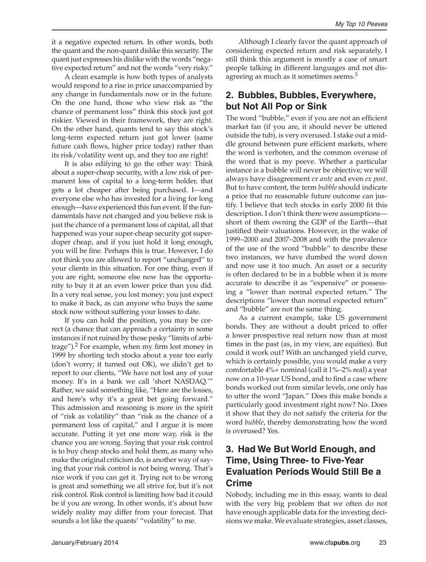it a negative expected return. In other words, both the quant and the non-quant dislike this security. The quant just expresses his dislike with the words "negative expected return" and not the words "very risky."

A clean example is how both types of analysts would respond to a rise in price unaccompanied by any change in fundamentals now or in the future. On the one hand, those who view risk as "the chance of permanent loss" think this stock just got riskier. Viewed in their framework, they are right. On the other hand, quants tend to say this stock's long-term expected return just got lower (same future cash flows, higher price today) rather than its risk/volatility went up, and they too are right!

It is also edifying to go the other way: Think about a super-cheap security, with a low risk of permanent loss of capital to a long-term holder, that gets a lot cheaper after being purchased. I—and everyone else who has invested for a living for long enough—have experienced this fun event. If the fundamentals have not changed and you believe risk is just the chance of a permanent loss of capital, all that happened was your super-cheap security got superduper cheap, and if you just hold it long enough, you will be fine. Perhaps this is true. However, I do not think you are allowed to report "unchanged" to your clients in this situation. For one thing, even if you are right, someone else now has the opportunity to buy it at an even lower price than you did. In a very real sense, you lost money; you just expect to make it back, as can anyone who buys the same stock now without suffering your losses to date.

If you can hold the position, you may be correct (a chance that can approach a certainty in some instances if not ruined by those pesky "limits of arbitrage"). $^2$  For example, when my firm lost money in 1999 by shorting tech stocks about a year too early (don't worry; it turned out OK), we didn't get to report to our clients, "We have not lost any of your money. It's in a bank we call 'short NASDAQ.'" Rather, we said something like, "Here are the losses, and here's why it's a great bet going forward." This admission and reasoning is more in the spirit of "risk as volatility" than "risk as the chance of a permanent loss of capital," and I argue it is more accurate. Putting it yet one more way, risk is the chance you are wrong. Saying that your risk control is to buy cheap stocks and hold them, as many who make the original criticism do, is another way of saying that your risk control is not being wrong. That's nice work if you can get it. Trying not to be wrong is great and something we all strive for, but it's not risk control. Risk control is limiting how bad it could be if you are wrong. In other words, it's about how widely reality may differ from your forecast. That sounds a lot like the quants' "volatility" to me.

Although I clearly favor the quant approach of considering expected return and risk separately, I still think this argument is mostly a case of smart people talking in different languages and not disagreeing as much as it sometimes seems. $3$ 

## **2. Bubbles, Bubbles, Everywhere, but Not All Pop or Sink**

The word "bubble," even if you are not an efficient market fan (if you are, it should never be uttered outside the tub), is very overused. I stake out a middle ground between pure efficient markets, where the word is verboten, and the common overuse of the word that is my peeve. Whether a particular instance is a bubble will never be objective; we will always have disagreement *ex ante* and even *ex post*. But to have content, the term *bubble* should indicate a price that no reasonable future outcome can justify. I believe that tech stocks in early 2000 fit this description. I don't think there were assumptions short of them owning the GDP of the Earth—that justified their valuations. However, in the wake of 1999–2000 and 2007–2008 and with the prevalence of the use of the word "bubble" to describe these two instances, we have dumbed the word down and now use it too much. An asset or a security is often declared to be in a bubble when it is more accurate to describe it as "expensive" or possessing a "lower than normal expected return." The descriptions "lower than normal expected return" and "bubble" are not the same thing.

As a current example, take US government bonds. They are without a doubt priced to offer a lower prospective real return now than at most times in the past (as, in my view, are equities). But could it work out? With an unchanged yield curve, which is certainly possible, you would make a very comfortable 4%+ nominal (call it 1%–2% real) a year now on a 10-year US bond, and to find a case where bonds worked out from similar levels, one only has to utter the word "Japan." Does this make bonds a particularly good investment right now? No. Does it show that they do not satisfy the criteria for the word *bubble*, thereby demonstrating how the word is overused? Yes.

## **3. Had We But World Enough, and Time, Using Three- to Five-Year Evaluation Periods Would Still Be a Crime**

Nobody, including me in this essay, wants to deal with the very big problem that we often do not have enough applicable data for the investing decisions we make. We evaluate strategies, asset classes,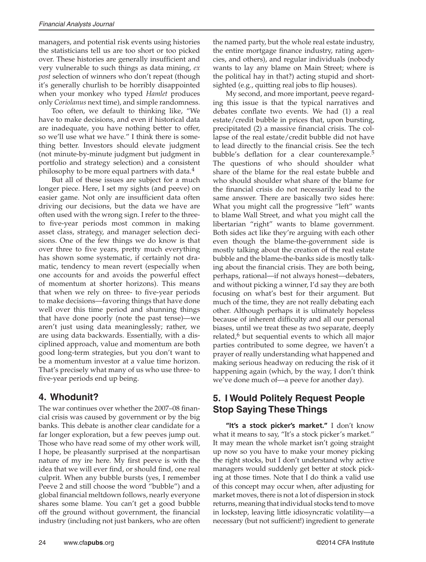managers, and potential risk events using histories the statisticians tell us are too short or too picked over. These histories are generally insufficient and very vulnerable to such things as data mining, *ex post* selection of winners who don't repeat (though it's generally churlish to be horribly disappointed when your monkey who typed *Hamlet* produces only *Coriolanus* next time), and simple randomness.

Too often, we default to thinking like, "We have to make decisions, and even if historical data are inadequate, you have nothing better to offer, so we'll use what we have." I think there is something better. Investors should elevate judgment (not minute-by-minute judgment but judgment in portfolio and strategy selection) and a consistent philosophy to be more equal partners with data.4

But all of these issues are subject for a much longer piece. Here, I set my sights (and peeve) on easier game. Not only are insufficient data often driving our decisions, but the data we have are often used with the wrong sign. I refer to the threeto five-year periods most common in making asset class, strategy, and manager selection decisions. One of the few things we do know is that over three to five years, pretty much everything has shown some systematic, if certainly not dramatic, tendency to mean revert (especially when one accounts for and avoids the powerful effect of momentum at shorter horizons). This means that when we rely on three- to five-year periods to make decisions—favoring things that have done well over this time period and shunning things that have done poorly (note the past tense)—we aren't just using data meaninglessly; rather, we are using data backwards. Essentially, with a disciplined approach, value and momentum are both good long-term strategies, but you don't want to be a momentum investor at a value time horizon. That's precisely what many of us who use three- to five-year periods end up being.

#### **4. Whodunit?**

The war continues over whether the 2007–08 financial crisis was caused by government or by the big banks. This debate is another clear candidate for a far longer exploration, but a few peeves jump out. Those who have read some of my other work will, I hope, be pleasantly surprised at the nonpartisan nature of my ire here. My first peeve is with the idea that we will ever find, or should find, one real culprit. When any bubble bursts (yes, I remember Peeve 2 and still choose the word "bubble") and a global financial meltdown follows, nearly everyone shares some blame. You can't get a good bubble off the ground without government, the financial industry (including not just bankers, who are often the named party, but the whole real estate industry, the entire mortgage finance industry, rating agencies, and others), and regular individuals (nobody wants to lay any blame on Main Street; where is the political hay in that?) acting stupid and shortsighted (e.g., quitting real jobs to flip houses).

My second, and more important, peeve regarding this issue is that the typical narratives and debates conflate two events. We had (1) a real estate/credit bubble in prices that, upon bursting, precipitated (2) a massive financial crisis. The collapse of the real estate/credit bubble did not have to lead directly to the financial crisis. See the tech bubble's deflation for a clear counterexample.<sup>5</sup> The questions of who should shoulder what share of the blame for the real estate bubble and who should shoulder what share of the blame for the financial crisis do not necessarily lead to the same answer. There are basically two sides here: What you might call the progressive "left" wants to blame Wall Street, and what you might call the libertarian "right" wants to blame government. Both sides act like they're arguing with each other even though the blame-the-government side is mostly talking about the creation of the real estate bubble and the blame-the-banks side is mostly talking about the financial crisis. They are both being, perhaps, rational—if not always honest—debaters, and without picking a winner, I'd say they are both focusing on what's best for their argument. But much of the time, they are not really debating each other. Although perhaps it is ultimately hopeless because of inherent difficulty and all our personal biases, until we treat these as two separate, deeply related, $6$  but sequential events to which all major parties contributed to some degree, we haven't a prayer of really understanding what happened and making serious headway on reducing the risk of it happening again (which, by the way, I don't think we've done much of—a peeve for another day).

## **5. I Would Politely Request People Stop Saying These Things**

**"It's a stock picker's market."** I don't know what it means to say, "It's a stock picker's market." It may mean the whole market isn't going straight up now so you have to make your money picking the right stocks, but I don't understand why active managers would suddenly get better at stock picking at those times. Note that I do think a valid use of this concept may occur when, after adjusting for market moves, there is not a lot of dispersion in stock returns, meaning that individual stocks tend to move in lockstep, leaving little idiosyncratic volatility—a necessary (but not sufficient!) ingredient to generate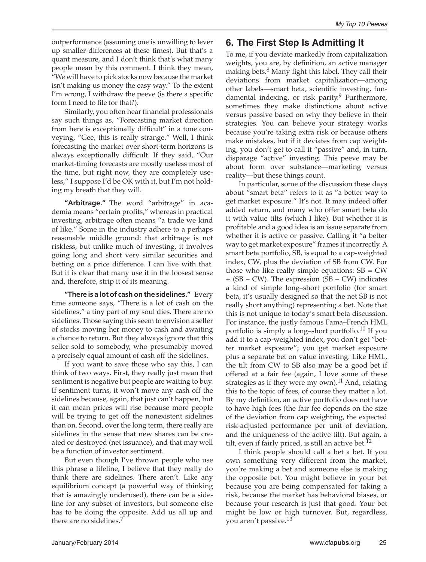outperformance (assuming one is unwilling to lever up smaller differences at these times). But that's a quant measure, and I don't think that's what many people mean by this comment. I think they mean, "We will have to pick stocks now because the market isn't making us money the easy way." To the extent I'm wrong, I withdraw the peeve (is there a specific form I need to file for that?).

Similarly, you often hear financial professionals say such things as, "Forecasting market direction from here is exceptionally difficult" in a tone conveying, "Gee, this is really strange." Well, I think forecasting the market over short-term horizons is always exceptionally difficult. If they said, "Our market-timing forecasts are mostly useless most of the time, but right now, they are completely useless," I suppose I'd be OK with it, but I'm not holding my breath that they will.

**"Arbitrage."** The word "arbitrage" in academia means "certain profits," whereas in practical investing, arbitrage often means "a trade we kind of like." Some in the industry adhere to a perhaps reasonable middle ground: that arbitrage is not riskless, but unlike much of investing, it involves going long and short very similar securities and betting on a price difference. I can live with that. But it is clear that many use it in the loosest sense and, therefore, strip it of its meaning.

**"There is a lot of cash on the sidelines."** Every time someone says, "There is a lot of cash on the sidelines," a tiny part of my soul dies. There are no sidelines. Those saying this seem to envision a seller of stocks moving her money to cash and awaiting a chance to return. But they always ignore that this seller sold to somebody, who presumably moved a precisely equal amount of cash off the sidelines.

If you want to save those who say this, I can think of two ways. First, they really just mean that sentiment is negative but people are waiting to buy. If sentiment turns, it won't move any cash off the sidelines because, again, that just can't happen, but it can mean prices will rise because more people will be trying to get off the nonexistent sidelines than on. Second, over the long term, there really are sidelines in the sense that new shares can be created or destroyed (net issuance), and that may well be a function of investor sentiment.

But even though I've thrown people who use this phrase a lifeline, I believe that they really do think there are sidelines. There aren't. Like any equilibrium concept (a powerful way of thinking that is amazingly underused), there can be a sideline for any subset of investors, but someone else has to be doing the opposite. Add us all up and there are no sidelines.<sup>7</sup>

#### **6. The First Step Is Admitting It**

To me, if you deviate markedly from capitalization weights, you are, by definition, an active manager making bets. $8$  Many fight this label. They call their deviations from market capitalization—among other labels—smart beta, scientific investing, fundamental indexing, or risk parity.<sup>9</sup> Furthermore, sometimes they make distinctions about active versus passive based on why they believe in their strategies. You can believe your strategy works because you're taking extra risk or because others make mistakes, but if it deviates from cap weighting, you don't get to call it "passive" and, in turn, disparage "active" investing. This peeve may be about form over substance—marketing versus reality—but these things count.

In particular, some of the discussion these days about "smart beta" refers to it as "a better way to get market exposure." It's not. It may indeed offer added return, and many who offer smart beta do it with value tilts (which I like). But whether it is profitable and a good idea is an issue separate from whether it is active or passive. Calling it "a better way to get market exposure" frames it incorrectly. A smart beta portfolio, SB, is equal to a cap-weighted index, CW, plus the deviation of SB from CW. For those who like really simple equations:  $SB = CW$ + (SB – CW). The expression (SB – CW) indicates a kind of simple long–short portfolio (for smart beta, it's usually designed so that the net SB is not really short anything) representing a bet. Note that this is not unique to today's smart beta discussion. For instance, the justly famous Fama–French HML portfolio is simply a long–short portfolio.10 If you add it to a cap-weighted index, you don't get "better market exposure"; you get market exposure plus a separate bet on value investing. Like HML, the tilt from CW to SB also may be a good bet if offered at a fair fee (again, I love some of these strategies as if they were my own).<sup>11</sup> And, relating this to the topic of fees, of course they matter a lot. By my definition, an active portfolio does not have to have high fees (the fair fee depends on the size of the deviation from cap weighting, the expected risk-adjusted performance per unit of deviation, and the uniqueness of the active tilt). But again, a tilt, even if fairly priced, is still an active bet.<sup>12</sup>

I think people should call a bet a bet. If you own something very different from the market, you're making a bet and someone else is making the opposite bet. You might believe in your bet because you are being compensated for taking a risk, because the market has behavioral biases, or because your research is just that good. Your bet might be low or high turnover. But, regardless, you aren't passive.<sup>13</sup>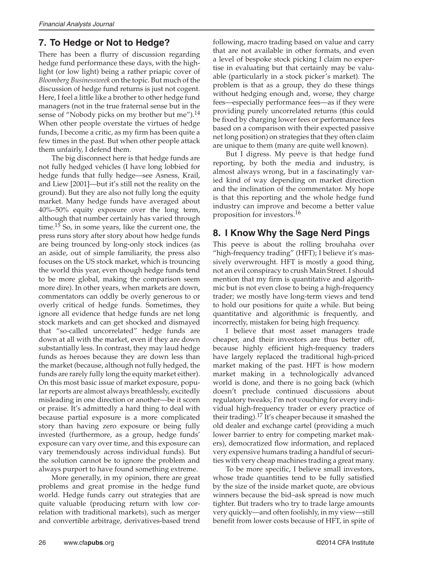# **7. To Hedge or Not to Hedge?**

There has been a flurry of discussion regarding hedge fund performance these days, with the highlight (or low light) being a rather priapic cover of *Bloomberg Businessweek* on the topic. But much of the discussion of hedge fund returns is just not cogent. Here, I feel a little like a brother to other hedge fund managers (not in the true fraternal sense but in the sense of "Nobody picks on my brother but me"). $^{14}$ When other people overstate the virtues of hedge funds, I become a critic, as my firm has been quite a few times in the past. But when other people attack them unfairly, I defend them.

The big disconnect here is that hedge funds are not fully hedged vehicles (I have long lobbied for hedge funds that fully hedge—see Asness, Krail, and Liew [2001]—but it's still not the reality on the ground). But they are also not fully long the equity market. Many hedge funds have averaged about 40%–50% equity exposure over the long term, although that number certainly has varied through time.15 So, in some years, like the current one, the press runs story after story about how hedge funds are being trounced by long-only stock indices (as an aside, out of simple familiarity, the press also focuses on the US stock market, which is trouncing the world this year, even though hedge funds tend to be more global, making the comparison seem more dire). In other years, when markets are down, commentators can oddly be overly generous to or overly critical of hedge funds. Sometimes, they ignore all evidence that hedge funds are net long stock markets and can get shocked and dismayed that "so-called uncorrelated" hedge funds are down at all with the market, even if they are down substantially less. In contrast, they may laud hedge funds as heroes because they are down less than the market (because, although not fully hedged, the funds are rarely fully long the equity market either). On this most basic issue of market exposure, popular reports are almost always breathlessly, excitedly misleading in one direction or another—be it scorn or praise. It's admittedly a hard thing to deal with because partial exposure is a more complicated story than having zero exposure or being fully invested (furthermore, as a group, hedge funds' exposure can vary over time, and this exposure can vary tremendously across individual funds). But the solution cannot be to ignore the problem and always purport to have found something extreme.

More generally, in my opinion, there are great problems and great promise in the hedge fund world. Hedge funds carry out strategies that are quite valuable (producing return with low correlation with traditional markets), such as merger and convertible arbitrage, derivatives-based trend

following, macro trading based on value and carry that are not available in other formats, and even a level of bespoke stock picking I claim no expertise in evaluating but that certainly may be valuable (particularly in a stock picker's market). The problem is that as a group, they do these things without hedging enough and, worse, they charge fees—especially performance fees—as if they were providing purely uncorrelated returns (this could be fixed by charging lower fees or performance fees based on a comparison with their expected passive net long position) on strategies that they often claim are unique to them (many are quite well known).

But I digress. My peeve is that hedge fund reporting, by both the media and industry, is almost always wrong, but in a fascinatingly varied kind of way depending on market direction and the inclination of the commentator. My hope is that this reporting and the whole hedge fund industry can improve and become a better value proposition for investors.<sup>16</sup>

## **8. I Know Why the Sage Nerd Pings**

This peeve is about the rolling brouhaha over "high-frequency trading" (HFT); I believe it's massively overwrought. HFT is mostly a good thing, not an evil conspiracy to crush Main Street. I should mention that my firm is quantitative and algorithmic but is not even close to being a high-frequency trader; we mostly have long-term views and tend to hold our positions for quite a while. But being quantitative and algorithmic is frequently, and incorrectly, mistaken for being high frequency.

I believe that most asset managers trade cheaper, and their investors are thus better off, because highly efficient high-frequency traders have largely replaced the traditional high-priced market making of the past. HFT is how modern market making in a technologically advanced world is done, and there is no going back (which doesn't preclude continued discussions about regulatory tweaks; I'm not vouching for every individual high-frequency trader or every practice of their trading).<sup>17</sup> It's cheaper because it smashed the old dealer and exchange cartel (providing a much lower barrier to entry for competing market makers), democratized flow information, and replaced very expensive humans trading a handful of securities with very cheap machines trading a great many.

To be more specific, I believe small investors, whose trade quantities tend to be fully satisfied by the size of the inside market quote, are obvious winners because the bid–ask spread is now much tighter. But traders who try to trade large amounts very quickly—and often foolishly, in my view—still benefit from lower costs because of HFT, in spite of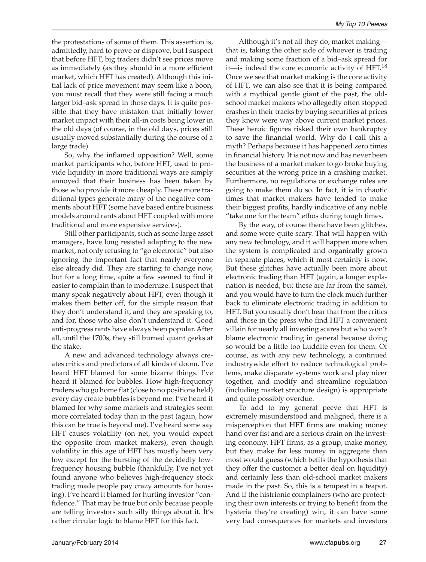the protestations of some of them. This assertion is, admittedly, hard to prove or disprove, but I suspect that before HFT, big traders didn't see prices move as immediately (as they should in a more efficient market, which HFT has created). Although this initial lack of price movement may seem like a boon, you must recall that they were still facing a much larger bid–ask spread in those days. It is quite possible that they have mistaken that initially lower market impact with their all-in costs being lower in the old days (of course, in the old days, prices still usually moved substantially during the course of a large trade).

So, why the inflamed opposition? Well, some market participants who, before HFT, used to provide liquidity in more traditional ways are simply annoyed that their business has been taken by those who provide it more cheaply. These more traditional types generate many of the negative comments about HFT (some have based entire business models around rants about HFT coupled with more traditional and more expensive services).

Still other participants, such as some large asset managers, have long resisted adapting to the new market, not only refusing to "go electronic" but also ignoring the important fact that nearly everyone else already did. They are starting to change now, but for a long time, quite a few seemed to find it easier to complain than to modernize. I suspect that many speak negatively about HFT, even though it makes them better off, for the simple reason that they don't understand it, and they are speaking to, and for, those who also don't understand it. Good anti-progress rants have always been popular. After all, until the 1700s, they still burned quant geeks at the stake.

A new and advanced technology always creates critics and predictors of all kinds of doom. I've heard HFT blamed for some bizarre things. I've heard it blamed for bubbles. How high-frequency traders who go home flat (close to no positions held) every day create bubbles is beyond me. I've heard it blamed for why some markets and strategies seem more correlated today than in the past (again, how this can be true is beyond me). I've heard some say HFT causes volatility (on net, you would expect the opposite from market makers), even though volatility in this age of HFT has mostly been very low except for the bursting of the decidedly lowfrequency housing bubble (thankfully, I've not yet found anyone who believes high-frequency stock trading made people pay crazy amounts for housing). I've heard it blamed for hurting investor "confidence." That may be true but only because people are telling investors such silly things about it. It's rather circular logic to blame HFT for this fact.

Although it's not all they do, market making that is, taking the other side of whoever is trading and making some fraction of a bid–ask spread for it—is indeed the core economic activity of  $HFT<sup>18</sup>$ Once we see that market making is the core activity of HFT, we can also see that it is being compared with a mythical gentle giant of the past, the oldschool market makers who allegedly often stopped crashes in their tracks by buying securities at prices they knew were way above current market prices. These heroic figures risked their own bankruptcy to save the financial world. Why do I call this a myth? Perhaps because it has happened zero times in financial history. It is not now and has never been the business of a market maker to go broke buying securities at the wrong price in a crashing market. Furthermore, no regulations or exchange rules are going to make them do so. In fact, it is in chaotic times that market makers have tended to make their biggest profits, hardly indicative of any noble "take one for the team" ethos during tough times.

By the way, of course there have been glitches, and some were quite scary. That will happen with any new technology, and it will happen more when the system is complicated and organically grown in separate places, which it most certainly is now. But these glitches have actually been more about electronic trading than HFT (again, a longer explanation is needed, but these are far from the same), and you would have to turn the clock much further back to eliminate electronic trading in addition to HFT. But you usually don't hear that from the critics and those in the press who find HFT a convenient villain for nearly all investing scares but who won't blame electronic trading in general because doing so would be a little too Luddite even for them. Of course, as with any new technology, a continued industrywide effort to reduce technological problems, make disparate systems work and play nicer together, and modify and streamline regulation (including market structure design) is appropriate and quite possibly overdue.

To add to my general peeve that HFT is extremely misunderstood and maligned, there is a misperception that HFT firms are making money hand over fist and are a serious drain on the investing economy. HFT firms, as a group, make money, but they make far less money in aggregate than most would guess (which befits the hypothesis that they offer the customer a better deal on liquidity) and certainly less than old-school market makers made in the past. So, this is a tempest in a teapot. And if the histrionic complainers (who are protecting their own interests or trying to benefit from the hysteria they're creating) win, it can have some very bad consequences for markets and investors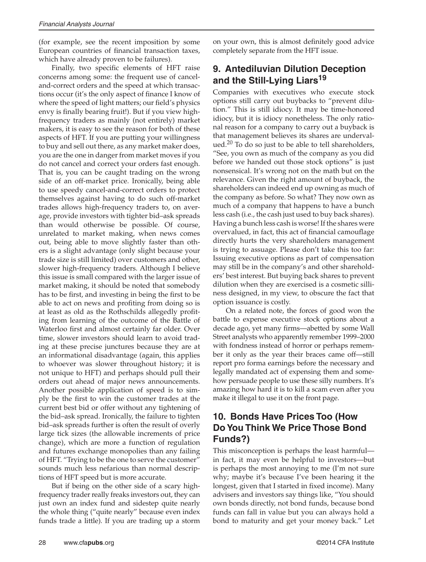(for example, see the recent imposition by some European countries of financial transaction taxes, which have already proven to be failures).

Finally, two specific elements of HFT raise concerns among some: the frequent use of canceland-correct orders and the speed at which transactions occur (it's the only aspect of finance I know of where the speed of light matters; our field's physics envy is finally bearing fruit!). But if you view highfrequency traders as mainly (not entirely) market makers, it is easy to see the reason for both of these aspects of HFT. If you are putting your willingness to buy and sell out there, as any market maker does, you are the one in danger from market moves if you do not cancel and correct your orders fast enough. That is, you can be caught trading on the wrong side of an off-market price. Ironically, being able to use speedy cancel-and-correct orders to protect themselves against having to do such off-market trades allows high-frequency traders to, on average, provide investors with tighter bid–ask spreads than would otherwise be possible. Of course, unrelated to market making, when news comes out, being able to move slightly faster than others is a slight advantage (only slight because your trade size is still limited) over customers and other, slower high-frequency traders. Although I believe this issue is small compared with the larger issue of market making, it should be noted that somebody has to be first, and investing in being the first to be able to act on news and profiting from doing so is at least as old as the Rothschilds allegedly profiting from learning of the outcome of the Battle of Waterloo first and almost certainly far older. Over time, slower investors should learn to avoid trading at these precise junctures because they are at an informational disadvantage (again, this applies to whoever was slower throughout history; it is not unique to HFT) and perhaps should pull their orders out ahead of major news announcements. Another possible application of speed is to simply be the first to win the customer trades at the current best bid or offer without any tightening of the bid–ask spread. Ironically, the failure to tighten bid–ask spreads further is often the result of overly large tick sizes (the allowable increments of price change), which are more a function of regulation and futures exchange monopolies than any failing of HFT. "Trying to be the one to serve the customer" sounds much less nefarious than normal descriptions of HFT speed but is more accurate.

But if being on the other side of a scary highfrequency trader really freaks investors out, they can just own an index fund and sidestep quite nearly the whole thing ("quite nearly" because even index funds trade a little). If you are trading up a storm on your own, this is almost definitely good advice completely separate from the HFT issue.

# **9. Antediluvian Dilution Deception and the Still-Lying Liars19**

Companies with executives who execute stock options still carry out buybacks to "prevent dilution." This is still idiocy. It may be time-honored idiocy, but it is idiocy nonetheless. The only rational reason for a company to carry out a buyback is that management believes its shares are undervalued.<sup>20</sup> To do so just to be able to tell shareholders, "See, you own as much of the company as you did before we handed out those stock options" is just nonsensical. It's wrong not on the math but on the relevance. Given the right amount of buyback, the shareholders can indeed end up owning as much of the company as before. So what? They now own as much of a company that happens to have a bunch less cash (i.e., the cash just used to buy back shares). Having a bunch less cash is worse! If the shares were overvalued, in fact, this act of financial camouflage directly hurts the very shareholders management is trying to assuage. Please don't take this too far: Issuing executive options as part of compensation may still be in the company's and other shareholders' best interest. But buying back shares to prevent dilution when they are exercised is a cosmetic silliness designed, in my view, to obscure the fact that option issuance is costly.

On a related note, the forces of good won the battle to expense executive stock options about a decade ago, yet many firms—abetted by some Wall Street analysts who apparently remember 1999–2000 with fondness instead of horror or perhaps remember it only as the year their braces came off—still report pro forma earnings before the necessary and legally mandated act of expensing them and somehow persuade people to use these silly numbers. It's amazing how hard it is to kill a scam even after you make it illegal to use it on the front page.

## **10. Bonds Have Prices Too (How Do You Think We Price Those Bond Funds?)**

This misconception is perhaps the least harmful in fact, it may even be helpful to investors—but is perhaps the most annoying to me (I'm not sure why; maybe it's because I've been hearing it the longest, given that I started in fixed income). Many advisers and investors say things like, "You should own bonds directly, not bond funds, because bond funds can fall in value but you can always hold a bond to maturity and get your money back." Let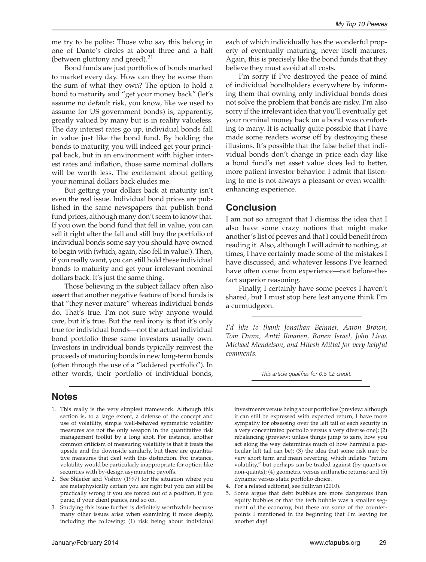me try to be polite: Those who say this belong in one of Dante's circles at about three and a half (between gluttony and greed). $21$ 

Bond funds are just portfolios of bonds marked to market every day. How can they be worse than the sum of what they own? The option to hold a bond to maturity and "get your money back" (let's assume no default risk, you know, like we used to assume for US government bonds) is, apparently, greatly valued by many but is in reality valueless. The day interest rates go up, individual bonds fall in value just like the bond fund. By holding the bonds to maturity, you will indeed get your principal back, but in an environment with higher interest rates and inflation, those same nominal dollars will be worth less. The excitement about getting your nominal dollars back eludes me.

But getting your dollars back at maturity isn't even the real issue. Individual bond prices are published in the same newspapers that publish bond fund prices, although many don't seem to know that. If you own the bond fund that fell in value, you can sell it right after the fall and still buy the portfolio of individual bonds some say you should have owned to begin with (which, again, also fell in value!). Then, if you really want, you can still hold these individual bonds to maturity and get your irrelevant nominal dollars back. It's just the same thing.

Those believing in the subject fallacy often also assert that another negative feature of bond funds is that "they never mature" whereas individual bonds do. That's true. I'm not sure why anyone would care, but it's true. But the real irony is that it's only true for individual bonds—not the actual individual bond portfolio these same investors usually own. Investors in individual bonds typically reinvest the proceeds of maturing bonds in new long-term bonds (often through the use of a "laddered portfolio"). In other words, their portfolio of individual bonds,

#### **Notes**

- 1. This really is the very simplest framework. Although this section is, to a large extent, a defense of the concept and use of volatility, simple well-behaved symmetric volatility measures are not the only weapon in the quantitative risk management toolkit by a long shot. For instance, another common criticism of measuring volatility is that it treats the upside and the downside similarly, but there are quantitative measures that deal with this distinction. For instance, volatility would be particularly inappropriate for option-like securities with by-design asymmetric payoffs.
- 2. See Shleifer and Vishny (1997) for the situation where you are metaphysically certain you are right but you can still be practically wrong if you are forced out of a position, if you panic, if your client panics, and so on.
- 3. Studying this issue further is definitely worthwhile because many other issues arise when examining it more deeply, including the following: (1) risk being about individual

each of which individually has the wonderful property of eventually maturing, never itself matures. Again, this is precisely like the bond funds that they believe they must avoid at all costs.

I'm sorry if I've destroyed the peace of mind of individual bondholders everywhere by informing them that owning only individual bonds does not solve the problem that bonds are risky. I'm also sorry if the irrelevant idea that you'll eventually get your nominal money back on a bond was comforting to many. It is actually quite possible that I have made some readers worse off by destroying these illusions. It's possible that the false belief that individual bonds don't change in price each day like a bond fund's net asset value does led to better, more patient investor behavior. I admit that listening to me is not always a pleasant or even wealthenhancing experience.

#### **Conclusion**

I am not so arrogant that I dismiss the idea that I also have some crazy notions that might make another's list of peeves and that I could benefit from reading it. Also, although I will admit to nothing, at times, I have certainly made some of the mistakes I have discussed, and whatever lessons I've learned have often come from experience—not before-thefact superior reasoning.

Finally, I certainly have some peeves I haven't shared, but I must stop here lest anyone think I'm a curmudgeon.

*I'd like to thank Jonathan Beinner, Aaron Brown, Tom Dunn, Antti Ilmanen, Ronen Israel, John Liew, Michael Mendelson, and Hitesh Mittal for very helpful comments.*

*This article qualifies for 0.5 CE credit.*

investments versus being about portfolios (preview: although it can still be expressed with expected return, I have more sympathy for obsessing over the left tail of each security in a very concentrated portfolio versus a very diverse one); (2) rebalancing (preview: unless things jump to zero, how you act along the way determines much of how harmful a particular left tail can be); (3) the idea that some risk may be very short term and mean reverting, which inflates "return volatility," but perhaps can be traded against (by quants or non-quants); (4) geometric versus arithmetic returns; and (5) dynamic versus static portfolio choice.

- 4. For a related editorial, see Sullivan (2010).
- 5. Some argue that debt bubbles are more dangerous than equity bubbles or that the tech bubble was a smaller segment of the economy, but these are some of the counterpoints I mentioned in the beginning that I'm leaving for another day!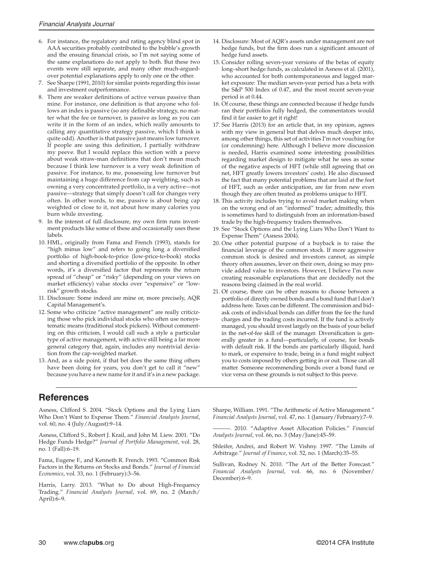- 6. For instance, the regulatory and rating agency blind spot in AAA securities probably contributed to the bubble's growth and the ensuing financial crisis, so I'm not saying some of the same explanations do not apply to both. But these two events were still separate, and many other much-arguedover potential explanations apply to only one or the other.
- 7. See Sharpe (1991, 2010) for similar points regarding this issue and investment outperformance.
- 8. There are weaker definitions of active versus passive than mine. For instance, one definition is that anyone who follows an index is passive (so any definable strategy, no matter what the fee or turnover, is passive as long as you can write it in the form of an index, which really amounts to calling any quantitative strategy passive, which I think is quite odd). Another is that passive just means low turnover. If people are using this definition, I partially withdraw my peeve. But I would replace this section with a peeve about weak straw-man definitions that don't mean much because I think low turnover is a very weak definition of passive. For instance, to me, possessing low turnover but maintaining a huge difference from cap weighting, such as owning a very concentrated portfolio, is a very active—not passive—strategy that simply doesn't call for changes very often. In other words, to me, passive is about being cap weighted or close to it, not about how many calories you burn while investing.
- 9. In the interest of full disclosure, my own firm runs investment products like some of these and occasionally uses these labels.
- 10. HML, originally from Fama and French (1993), stands for "high minus low" and refers to going long a diversified portfolio of high-book-to-price (low-price-to-book) stocks and shorting a diversified portfolio of the opposite. In other words, it's a diversified factor that represents the return spread of "cheap" or "risky" (depending on your views on market efficiency) value stocks over "expensive" or "lowrisk" growth stocks.
- 11. Disclosure: Some indeed are mine or, more precisely, AQR Capital Management's.
- 12. Some who criticize "active management" are really criticizing those who pick individual stocks who often use nonsystematic means (traditional stock pickers). Without commenting on this criticism, I would call such a style a particular type of active management, with active still being a far more general category that, again, includes any nontrivial deviation from the cap-weighted market.
- 13. And, as a side point, if that bet does the same thing others have been doing for years, you don't get to call it "new" because you have a new name for it and it's in a new package.
- 14. Disclosure: Most of AQR's assets under management are not hedge funds, but the firm does run a significant amount of hedge fund assets.
- 15. Consider rolling seven-year versions of the betas of equity long–short hedge funds, as calculated in Asness et al. (2001), who accounted for both contemporaneous and lagged market exposure: The median seven-year period has a beta with the S&P 500 Index of 0.47, and the most recent seven-year period is at 0.44.
- 16. Of course, these things are connected because if hedge funds ran their portfolios fully hedged, the commentators would find it far easier to get it right!
- 17. See Harris (2013) for an article that, in my opinion, agrees with my view in general but that delves much deeper into, among other things, this set of activities I'm not vouching for (or condemning) here. Although I believe more discussion is needed, Harris examined some interesting possibilities regarding market design to mitigate what he sees as some of the negative aspects of HFT (while still agreeing that on net, HFT greatly lowers investors' costs). He also discussed the fact that many potential problems that are laid at the feet of HFT, such as order anticipation, are far from new even though they are often treated as problems unique to HFT.
- 18. This activity includes trying to avoid market making when on the wrong end of an "informed" trader; admittedly, this is sometimes hard to distinguish from an information-based trade by the high-frequency traders themselves.
- 19. See "Stock Options and the Lying Liars Who Don't Want to Expense Them" (Asness 2004).
- 20. One other potential purpose of a buyback is to raise the financial leverage of the common stock. If more aggressive common stock is desired and investors cannot, as simple theory often assumes, lever on their own, doing so may provide added value to investors. However, I believe I'm now creating reasonable explanations that are decidedly not the reasons being claimed in the real world.
- 21. Of course, there can be other reasons to choose between a portfolio of directly owned bonds and a bond fund that I don't address here. Taxes can be different. The commission and bid– ask costs of individual bonds can differ from the fee the fund charges and the trading costs incurred. If the fund is actively managed, you should invest largely on the basis of your belief in the net-of-fee skill of the manager. Diversification is generally greater in a fund—particularly, of course, for bonds with default risk. If the bonds are particularly illiquid, hard to mark, or expensive to trade, being in a fund might subject you to costs imposed by others getting in or out. Those can all matter. Someone recommending bonds over a bond fund or vice versa on these grounds is not subject to this peeve.

#### **References**

Asness, Clifford S. 2004. "Stock Options and the Lying Liars Who Don't Want to Expense Them." *Financial Analysts Journal*, vol. 60, no. 4 (July/August):9–14.

Asness, Clifford S., Robert J. Krail, and John M. Liew. 2001. "Do Hedge Funds Hedge?" *Journal of Portfolio Management*, vol. 28, no. 1 (Fall):6–19.

Fama, Eugene F., and Kenneth R. French. 1993. "Common Risk Factors in the Returns on Stocks and Bonds." *Journal of Financial Economics*, vol. 33, no. 1 (February):3–56.

Harris, Larry. 2013. "What to Do about High-Frequency Trading." *Financial Analysts Journal*, vol. 69, no. 2 (March/ April):6–9.

Sharpe, William. 1991. "The Arithmetic of Active Management." *Financial Analysts Journal*, vol. 47, no. 1 (January/February):7–9.

———. 2010. "Adaptive Asset Allocation Policies." *Financial Analysts Journal*, vol. 66, no. 3 (May/June):45–59.

Shleifer, Andrei, and Robert W. Vishny. 1997. "The Limits of Arbitrage." *Journal of Finance*, vol. 52, no. 1 (March):35–55.

Sullivan, Rodney N. 2010. "The Art of the Better Forecast." *Financial Analysts Journal*, vol. 66, no. 6 (November/ December):6–9.